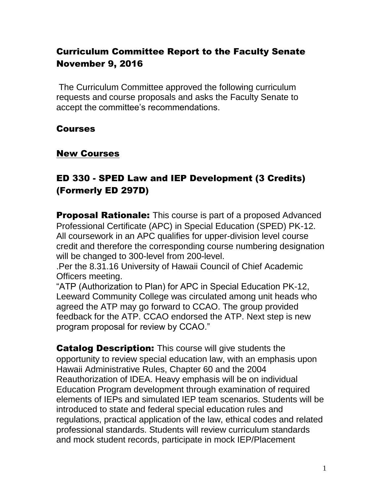# Curriculum Committee Report to the Faculty Senate November 9, 2016

The Curriculum Committee approved the following curriculum requests and course proposals and asks the Faculty Senate to accept the committee's recommendations.

#### Courses

#### New Courses

# ED 330 - SPED Law and IEP Development (3 Credits) (Formerly ED 297D)

**Proposal Rationale:** This course is part of a proposed Advanced Professional Certificate (APC) in Special Education (SPED) PK-12. All coursework in an APC qualifies for upper-division level course credit and therefore the corresponding course numbering designation will be changed to 300-level from 200-level.

.Per the 8.31.16 University of Hawaii Council of Chief Academic Officers meeting.

"ATP (Authorization to Plan) for APC in Special Education PK-12, Leeward Community College was circulated among unit heads who agreed the ATP may go forward to CCAO. The group provided feedback for the ATP. CCAO endorsed the ATP. Next step is new program proposal for review by CCAO."

**Catalog Description:** This course will give students the opportunity to review special education law, with an emphasis upon Hawaii Administrative Rules, Chapter 60 and the 2004 Reauthorization of IDEA. Heavy emphasis will be on individual Education Program development through examination of required elements of IEPs and simulated IEP team scenarios. Students will be introduced to state and federal special education rules and regulations, practical application of the law, ethical codes and related professional standards. Students will review curriculum standards and mock student records, participate in mock IEP/Placement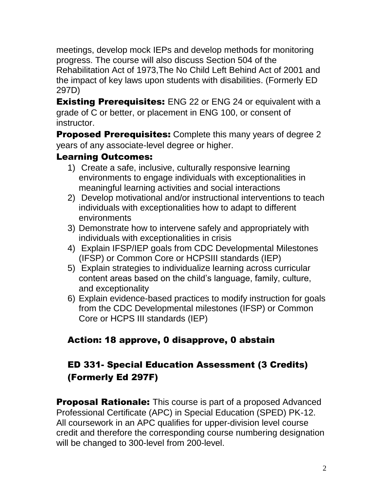meetings, develop mock IEPs and develop methods for monitoring progress. The course will also discuss Section 504 of the Rehabilitation Act of 1973,The No Child Left Behind Act of 2001 and the impact of key laws upon students with disabilities. (Formerly ED 297D)

**Existing Prerequisites:** ENG 22 or ENG 24 or equivalent with a grade of C or better, or placement in ENG 100, or consent of instructor.

**Proposed Prerequisites:** Complete this many years of degree 2 years of any associate-level degree or higher.

## Learning Outcomes:

- 1) Create a safe, inclusive, culturally responsive learning environments to engage individuals with exceptionalities in meaningful learning activities and social interactions
- 2) Develop motivational and/or instructional interventions to teach individuals with exceptionalities how to adapt to different environments
- 3) Demonstrate how to intervene safely and appropriately with individuals with exceptionalities in crisis
- 4) Explain IFSP/IEP goals from CDC Developmental Milestones (IFSP) or Common Core or HCPSIII standards (IEP)
- 5) Explain strategies to individualize learning across curricular content areas based on the child's language, family, culture, and exceptionality
- 6) Explain evidence-based practices to modify instruction for goals from the CDC Developmental milestones (IFSP) or Common Core or HCPS III standards (IEP)

# Action: 18 approve, 0 disapprove, 0 abstain

# ED 331- Special Education Assessment (3 Credits) (Formerly Ed 297F)

**Proposal Rationale:** This course is part of a proposed Advanced Professional Certificate (APC) in Special Education (SPED) PK-12. All coursework in an APC qualifies for upper-division level course credit and therefore the corresponding course numbering designation will be changed to 300-level from 200-level.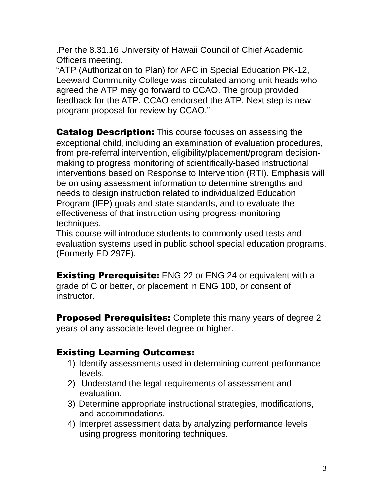.Per the 8.31.16 University of Hawaii Council of Chief Academic Officers meeting.

"ATP (Authorization to Plan) for APC in Special Education PK-12, Leeward Community College was circulated among unit heads who agreed the ATP may go forward to CCAO. The group provided feedback for the ATP. CCAO endorsed the ATP. Next step is new program proposal for review by CCAO."

**Catalog Description:** This course focuses on assessing the exceptional child, including an examination of evaluation procedures, from pre-referral intervention, eligibility/placement/program decisionmaking to progress monitoring of scientifically-based instructional interventions based on Response to Intervention (RTI). Emphasis will be on using assessment information to determine strengths and needs to design instruction related to individualized Education Program (IEP) goals and state standards, and to evaluate the effectiveness of that instruction using progress-monitoring techniques.

This course will introduce students to commonly used tests and evaluation systems used in public school special education programs. (Formerly ED 297F).

**Existing Prerequisite:** ENG 22 or ENG 24 or equivalent with a grade of C or better, or placement in ENG 100, or consent of instructor.

**Proposed Prerequisites:** Complete this many years of degree 2 years of any associate-level degree or higher.

## Existing Learning Outcomes:

- 1) Identify assessments used in determining current performance levels.
- 2) Understand the legal requirements of assessment and evaluation.
- 3) Determine appropriate instructional strategies, modifications, and accommodations.
- 4) Interpret assessment data by analyzing performance levels using progress monitoring techniques.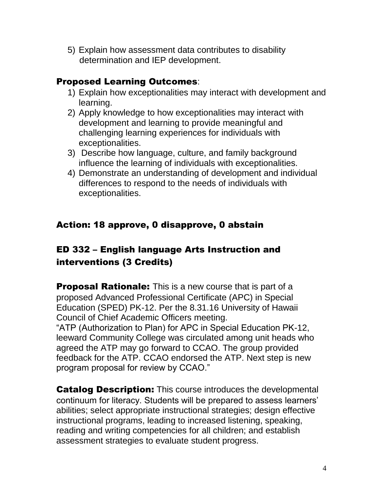5) Explain how assessment data contributes to disability determination and IEP development.

## Proposed Learning Outcomes:

- 1) Explain how exceptionalities may interact with development and learning.
- 2) Apply knowledge to how exceptionalities may interact with development and learning to provide meaningful and challenging learning experiences for individuals with exceptionalities.
- 3) Describe how language, culture, and family background influence the learning of individuals with exceptionalities.
- 4) Demonstrate an understanding of development and individual differences to respond to the needs of individuals with exceptionalities.

# Action: 18 approve, 0 disapprove, 0 abstain

# ED 332 – English language Arts Instruction and interventions (3 Credits)

**Proposal Rationale:** This is a new course that is part of a proposed Advanced Professional Certificate (APC) in Special Education (SPED) PK-12. Per the 8.31.16 University of Hawaii Council of Chief Academic Officers meeting. "ATP (Authorization to Plan) for APC in Special Education PK-12, leeward Community College was circulated among unit heads who agreed the ATP may go forward to CCAO. The group provided feedback for the ATP. CCAO endorsed the ATP. Next step is new program proposal for review by CCAO."

**Catalog Description:** This course introduces the developmental continuum for literacy. Students will be prepared to assess learners' abilities; select appropriate instructional strategies; design effective instructional programs, leading to increased listening, speaking, reading and writing competencies for all children; and establish assessment strategies to evaluate student progress.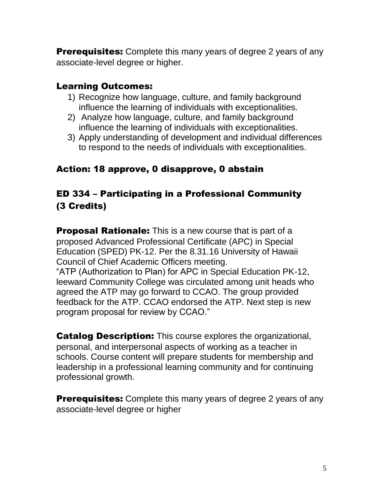**Prerequisites:** Complete this many years of degree 2 years of any associate-level degree or higher.

#### Learning Outcomes:

- 1) Recognize how language, culture, and family background influence the learning of individuals with exceptionalities.
- 2) Analyze how language, culture, and family background influence the learning of individuals with exceptionalities.
- 3) Apply understanding of development and individual differences to respond to the needs of individuals with exceptionalities.

#### Action: 18 approve, 0 disapprove, 0 abstain

## ED 334 – Participating in a Professional Community (3 Credits)

**Proposal Rationale:** This is a new course that is part of a proposed Advanced Professional Certificate (APC) in Special Education (SPED) PK-12. Per the 8.31.16 University of Hawaii Council of Chief Academic Officers meeting. "ATP (Authorization to Plan) for APC in Special Education PK-12, leeward Community College was circulated among unit heads who agreed the ATP may go forward to CCAO. The group provided feedback for the ATP. CCAO endorsed the ATP. Next step is new program proposal for review by CCAO."

**Catalog Description:** This course explores the organizational, personal, and interpersonal aspects of working as a teacher in schools. Course content will prepare students for membership and leadership in a professional learning community and for continuing professional growth.

**Prerequisites:** Complete this many years of degree 2 years of any associate-level degree or higher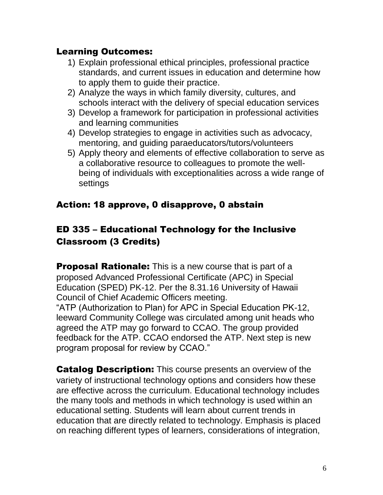#### Learning Outcomes:

- 1) Explain professional ethical principles, professional practice standards, and current issues in education and determine how to apply them to guide their practice.
- 2) Analyze the ways in which family diversity, cultures, and schools interact with the delivery of special education services
- 3) Develop a framework for participation in professional activities and learning communities
- 4) Develop strategies to engage in activities such as advocacy, mentoring, and guiding paraeducators/tutors/volunteers
- 5) Apply theory and elements of effective collaboration to serve as a collaborative resource to colleagues to promote the wellbeing of individuals with exceptionalities across a wide range of settings

## Action: 18 approve, 0 disapprove, 0 abstain

# ED 335 – Educational Technology for the Inclusive Classroom (3 Credits)

**Proposal Rationale:** This is a new course that is part of a proposed Advanced Professional Certificate (APC) in Special Education (SPED) PK-12. Per the 8.31.16 University of Hawaii Council of Chief Academic Officers meeting. "ATP (Authorization to Plan) for APC in Special Education PK-12, leeward Community College was circulated among unit heads who agreed the ATP may go forward to CCAO. The group provided feedback for the ATP. CCAO endorsed the ATP. Next step is new program proposal for review by CCAO."

**Catalog Description:** This course presents an overview of the variety of instructional technology options and considers how these are effective across the curriculum. Educational technology includes the many tools and methods in which technology is used within an educational setting. Students will learn about current trends in education that are directly related to technology. Emphasis is placed on reaching different types of learners, considerations of integration,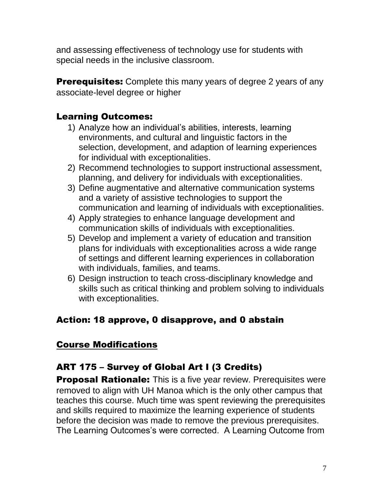and assessing effectiveness of technology use for students with special needs in the inclusive classroom.

**Prerequisites:** Complete this many years of degree 2 years of any associate-level degree or higher

## Learning Outcomes:

- 1) Analyze how an individual's abilities, interests, learning environments, and cultural and linguistic factors in the selection, development, and adaption of learning experiences for individual with exceptionalities.
- 2) Recommend technologies to support instructional assessment, planning, and delivery for individuals with exceptionalities.
- 3) Define augmentative and alternative communication systems and a variety of assistive technologies to support the communication and learning of individuals with exceptionalities.
- 4) Apply strategies to enhance language development and communication skills of individuals with exceptionalities.
- 5) Develop and implement a variety of education and transition plans for individuals with exceptionalities across a wide range of settings and different learning experiences in collaboration with individuals, families, and teams.
- 6) Design instruction to teach cross-disciplinary knowledge and skills such as critical thinking and problem solving to individuals with exceptionalities.

# Action: 18 approve, 0 disapprove, and 0 abstain

# Course Modifications

# ART 175 – Survey of Global Art I (3 Credits)

**Proposal Rationale:** This is a five year review. Prerequisites were removed to align with UH Manoa which is the only other campus that teaches this course. Much time was spent reviewing the prerequisites and skills required to maximize the learning experience of students before the decision was made to remove the previous prerequisites. The Learning Outcomes's were corrected. A Learning Outcome from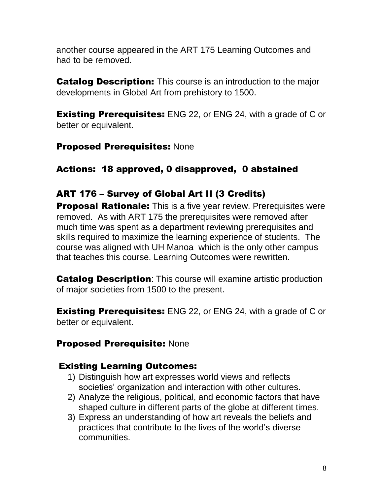another course appeared in the ART 175 Learning Outcomes and had to be removed.

**Catalog Description:** This course is an introduction to the major developments in Global Art from prehistory to 1500.

**Existing Prerequisites:** ENG 22, or ENG 24, with a grade of C or better or equivalent.

#### Proposed Prerequisites: None

## Actions: 18 approved, 0 disapproved, 0 abstained

## ART 176 – Survey of Global Art II (3 Credits)

**Proposal Rationale:** This is a five year review. Prerequisites were removed. As with ART 175 the prerequisites were removed after much time was spent as a department reviewing prerequisites and skills required to maximize the learning experience of students. The course was aligned with UH Manoa which is the only other campus that teaches this course. Learning Outcomes were rewritten.

**Catalog Description:** This course will examine artistic production of major societies from 1500 to the present.

**Existing Prerequisites:** ENG 22, or ENG 24, with a grade of C or better or equivalent.

#### Proposed Prerequisite: None

## Existing Learning Outcomes:

- 1) Distinguish how art expresses world views and reflects societies' organization and interaction with other cultures.
- 2) Analyze the religious, political, and economic factors that have shaped culture in different parts of the globe at different times.
- 3) Express an understanding of how art reveals the beliefs and practices that contribute to the lives of the world's diverse communities.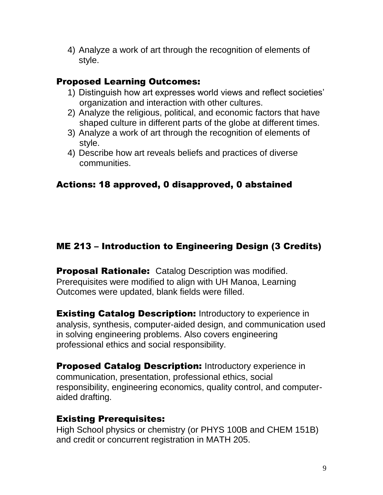4) Analyze a work of art through the recognition of elements of style.

## Proposed Learning Outcomes:

- 1) Distinguish how art expresses world views and reflect societies' organization and interaction with other cultures.
- 2) Analyze the religious, political, and economic factors that have shaped culture in different parts of the globe at different times.
- 3) Analyze a work of art through the recognition of elements of style.
- 4) Describe how art reveals beliefs and practices of diverse communities.

# Actions: 18 approved, 0 disapproved, 0 abstained

# ME 213 – Introduction to Engineering Design (3 Credits)

**Proposal Rationale:** Catalog Description was modified. Prerequisites were modified to align with UH Manoa, Learning Outcomes were updated, blank fields were filled.

**Existing Catalog Description:** Introductory to experience in analysis, synthesis, computer-aided design, and communication used in solving engineering problems. Also covers engineering professional ethics and social responsibility.

**Proposed Catalog Description: Introductory experience in** communication, presentation, professional ethics, social responsibility, engineering economics, quality control, and computeraided drafting.

## Existing Prerequisites:

High School physics or chemistry (or PHYS 100B and CHEM 151B) and credit or concurrent registration in MATH 205.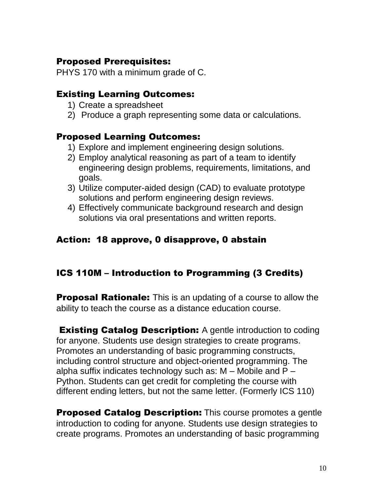#### Proposed Prerequisites:

PHYS 170 with a minimum grade of C.

#### Existing Learning Outcomes:

- 1) Create a spreadsheet
- 2) Produce a graph representing some data or calculations.

#### Proposed Learning Outcomes:

- 1) Explore and implement engineering design solutions.
- 2) Employ analytical reasoning as part of a team to identify engineering design problems, requirements, limitations, and goals.
- 3) Utilize computer-aided design (CAD) to evaluate prototype solutions and perform engineering design reviews.
- 4) Effectively communicate background research and design solutions via oral presentations and written reports.

## Action: 18 approve, 0 disapprove, 0 abstain

## ICS 110M – Introduction to Programming (3 Credits)

**Proposal Rationale:** This is an updating of a course to allow the ability to teach the course as a distance education course.

**Existing Catalog Description:** A gentle introduction to coding for anyone. Students use design strategies to create programs. Promotes an understanding of basic programming constructs, including control structure and object-oriented programming. The alpha suffix indicates technology such as:  $M - M$ obile and  $P -$ Python. Students can get credit for completing the course with different ending letters, but not the same letter. (Formerly ICS 110)

**Proposed Catalog Description:** This course promotes a gentle introduction to coding for anyone. Students use design strategies to create programs. Promotes an understanding of basic programming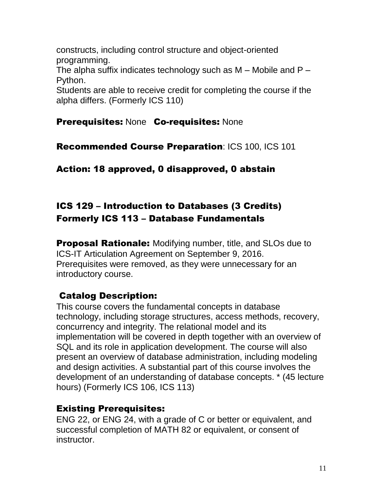constructs, including control structure and object-oriented programming.

The alpha suffix indicates technology such as  $M -$  Mobile and  $P -$ Python.

Students are able to receive credit for completing the course if the alpha differs. (Formerly ICS 110)

## Prerequisites: None Co-requisites: None

Recommended Course Preparation: ICS 100, ICS 101

Action: 18 approved, 0 disapproved, 0 abstain

# ICS 129 – Introduction to Databases (3 Credits) Formerly ICS 113 – Database Fundamentals

**Proposal Rationale:** Modifying number, title, and SLOs due to ICS-IT Articulation Agreement on September 9, 2016. Prerequisites were removed, as they were unnecessary for an introductory course.

# Catalog Description:

This course covers the fundamental concepts in database technology, including storage structures, access methods, recovery, concurrency and integrity. The relational model and its implementation will be covered in depth together with an overview of SQL and its role in application development. The course will also present an overview of database administration, including modeling and design activities. A substantial part of this course involves the development of an understanding of database concepts. \* (45 lecture hours) (Formerly ICS 106, ICS 113)

# Existing Prerequisites:

ENG 22, or ENG 24, with a grade of C or better or equivalent, and successful completion of MATH 82 or equivalent, or consent of instructor.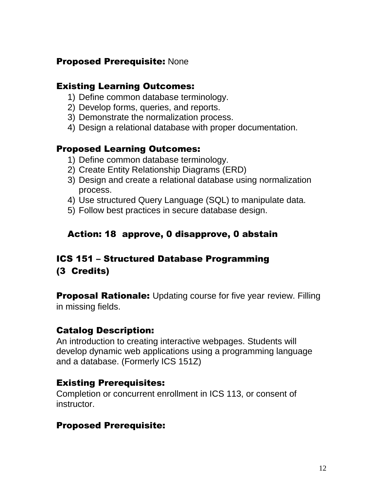#### Proposed Prerequisite: None

#### Existing Learning Outcomes:

- 1) Define common database terminology.
- 2) Develop forms, queries, and reports.
- 3) Demonstrate the normalization process.
- 4) Design a relational database with proper documentation.

#### Proposed Learning Outcomes:

- 1) Define common database terminology.
- 2) Create Entity Relationship Diagrams (ERD)
- 3) Design and create a relational database using normalization process.
- 4) Use structured Query Language (SQL) to manipulate data.
- 5) Follow best practices in secure database design.

## Action: 18 approve, 0 disapprove, 0 abstain

## ICS 151 – Structured Database Programming (3 Credits)

**Proposal Rationale:** Updating course for five year review. Filling in missing fields.

## Catalog Description:

An introduction to creating interactive webpages. Students will develop dynamic web applications using a programming language and a database. (Formerly ICS 151Z)

## Existing Prerequisites:

Completion or concurrent enrollment in ICS 113, or consent of instructor.

## Proposed Prerequisite: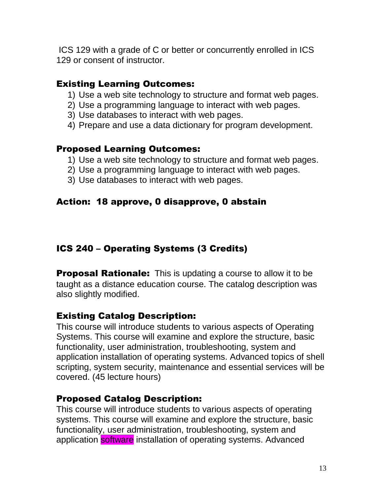ICS 129 with a grade of C or better or concurrently enrolled in ICS 129 or consent of instructor.

#### Existing Learning Outcomes:

- 1) Use a web site technology to structure and format web pages.
- 2) Use a programming language to interact with web pages.
- 3) Use databases to interact with web pages.
- 4) Prepare and use a data dictionary for program development.

#### Proposed Learning Outcomes:

- 1) Use a web site technology to structure and format web pages.
- 2) Use a programming language to interact with web pages.
- 3) Use databases to interact with web pages.

## Action: 18 approve, 0 disapprove, 0 abstain

# ICS 240 – Operating Systems (3 Credits)

**Proposal Rationale:** This is updating a course to allow it to be taught as a distance education course. The catalog description was also slightly modified.

## Existing Catalog Description:

This course will introduce students to various aspects of Operating Systems. This course will examine and explore the structure, basic functionality, user administration, troubleshooting, system and application installation of operating systems. Advanced topics of shell scripting, system security, maintenance and essential services will be covered. (45 lecture hours)

## Proposed Catalog Description:

This course will introduce students to various aspects of operating systems. This course will examine and explore the structure, basic functionality, user administration, troubleshooting, system and application **software** installation of operating systems. Advanced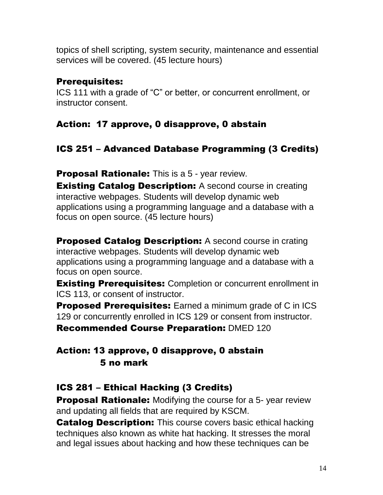topics of shell scripting, system security, maintenance and essential services will be covered. (45 lecture hours)

## Prerequisites:

ICS 111 with a grade of "C" or better, or concurrent enrollment, or instructor consent.

## Action: 17 approve, 0 disapprove, 0 abstain

# ICS 251 – Advanced Database Programming (3 Credits)

**Proposal Rationale:** This is a 5 - year review.

**Existing Catalog Description:** A second course in creating interactive webpages. Students will develop dynamic web applications using a programming language and a database with a focus on open source. (45 lecture hours)

**Proposed Catalog Description:** A second course in crating interactive webpages. Students will develop dynamic web applications using a programming language and a database with a focus on open source.

**Existing Prerequisites:** Completion or concurrent enrollment in ICS 113, or consent of instructor.

**Proposed Prerequisites:** Earned a minimum grade of C in ICS 129 or concurrently enrolled in ICS 129 or consent from instructor.

Recommended Course Preparation: DMED 120

# Action: 13 approve, 0 disapprove, 0 abstain 5 no mark

# ICS 281 – Ethical Hacking (3 Credits)

**Proposal Rationale:** Modifying the course for a 5-year review and updating all fields that are required by KSCM.

**Catalog Description:** This course covers basic ethical hacking techniques also known as white hat hacking. It stresses the moral and legal issues about hacking and how these techniques can be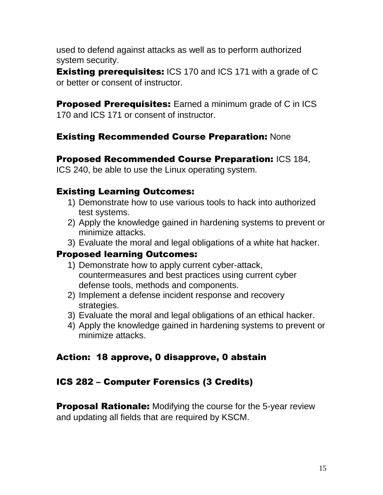used to defend against attacks as well as to perform authorized system security.

**Existing prerequisites: ICS 170 and ICS 171 with a grade of C** or better or consent of instructor.

**Proposed Prerequisites:** Earned a minimum grade of C in ICS 170 and ICS 171 or consent of instructor.

## Existing Recommended Course Preparation: None

#### Proposed Recommended Course Preparation: ICS 184,

ICS 240, be able to use the Linux operating system.

## Existing Learning Outcomes:

- 1) Demonstrate how to use various tools to hack into authorized test systems.
- 2) Apply the knowledge gained in hardening systems to prevent or minimize attacks.
- 3) Evaluate the moral and legal obligations of a white hat hacker.

## Proposed learning Outcomes:

- 1) Demonstrate how to apply current cyber-attack, countermeasures and best practices using current cyber defense tools, methods and components.
- 2) Implement a defense incident response and recovery strategies.
- 3) Evaluate the moral and legal obligations of an ethical hacker.
- 4) Apply the knowledge gained in hardening systems to prevent or minimize attacks.

# Action: 18 approve, 0 disapprove, 0 abstain

## ICS 282 – Computer Forensics (3 Credits)

**Proposal Rationale:** Modifying the course for the 5-year review and updating all fields that are required by KSCM.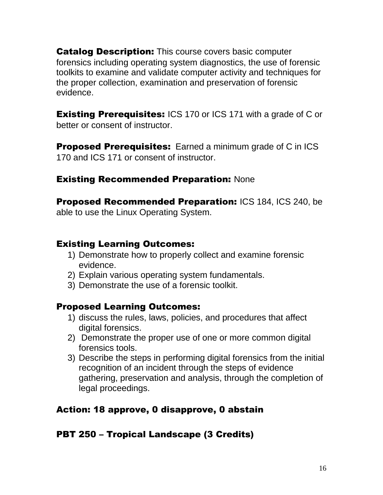**Catalog Description:** This course covers basic computer forensics including operating system diagnostics, the use of forensic toolkits to examine and validate computer activity and techniques for the proper collection, examination and preservation of forensic evidence.

**Existing Prerequisites:** ICS 170 or ICS 171 with a grade of C or better or consent of instructor.

**Proposed Prerequisites:** Earned a minimum grade of C in ICS 170 and ICS 171 or consent of instructor.

#### **Existing Recommended Preparation: None**

Proposed Recommended Preparation: ICS 184, ICS 240, be able to use the Linux Operating System.

#### Existing Learning Outcomes:

- 1) Demonstrate how to properly collect and examine forensic evidence.
- 2) Explain various operating system fundamentals.
- 3) Demonstrate the use of a forensic toolkit.

#### Proposed Learning Outcomes:

- 1) discuss the rules, laws, policies, and procedures that affect digital forensics.
- 2) Demonstrate the proper use of one or more common digital forensics tools.
- 3) Describe the steps in performing digital forensics from the initial recognition of an incident through the steps of evidence gathering, preservation and analysis, through the completion of legal proceedings.

## Action: 18 approve, 0 disapprove, 0 abstain

#### PBT 250 – Tropical Landscape (3 Credits)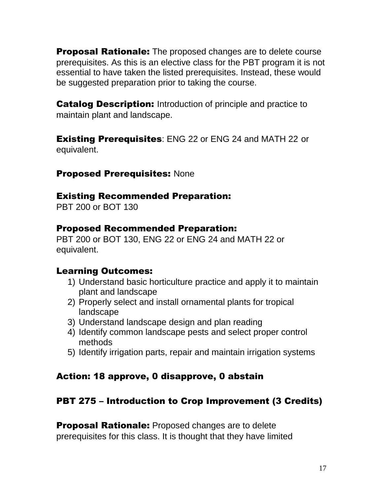**Proposal Rationale:** The proposed changes are to delete course prerequisites. As this is an elective class for the PBT program it is not essential to have taken the listed prerequisites. Instead, these would be suggested preparation prior to taking the course.

**Catalog Description:** Introduction of principle and practice to maintain plant and landscape.

**Existing Prerequisites:** ENG 22 or ENG 24 and MATH 22 or equivalent.

#### Proposed Prerequisites: None

#### Existing Recommended Preparation:

PBT 200 or BOT 130

#### Proposed Recommended Preparation:

PBT 200 or BOT 130, ENG 22 or ENG 24 and MATH 22 or equivalent.

#### Learning Outcomes:

- 1) Understand basic horticulture practice and apply it to maintain plant and landscape
- 2) Properly select and install ornamental plants for tropical landscape
- 3) Understand landscape design and plan reading
- 4) Identify common landscape pests and select proper control methods
- 5) Identify irrigation parts, repair and maintain irrigation systems

#### Action: 18 approve, 0 disapprove, 0 abstain

#### PBT 275 – Introduction to Crop Improvement (3 Credits)

**Proposal Rationale:** Proposed changes are to delete prerequisites for this class. It is thought that they have limited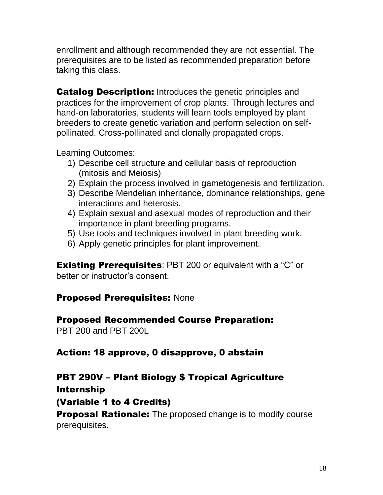enrollment and although recommended they are not essential. The prerequisites are to be listed as recommended preparation before taking this class.

**Catalog Description:** Introduces the genetic principles and practices for the improvement of crop plants. Through lectures and hand-on laboratories, students will learn tools employed by plant breeders to create genetic variation and perform selection on selfpollinated. Cross-pollinated and clonally propagated crops.

Learning Outcomes:

- 1) Describe cell structure and cellular basis of reproduction (mitosis and Meiosis)
- 2) Explain the process involved in gametogenesis and fertilization.
- 3) Describe Mendelian inheritance, dominance relationships, gene interactions and heterosis.
- 4) Explain sexual and asexual modes of reproduction and their importance in plant breeding programs.
- 5) Use tools and techniques involved in plant breeding work.
- 6) Apply genetic principles for plant improvement.

**Existing Prerequisites: PBT 200 or equivalent with a "C" or** better or instructor's consent.

## Proposed Prerequisites: None

Proposed Recommended Course Preparation: PBT 200 and PBT 200L

## Action: 18 approve, 0 disapprove, 0 abstain

## PBT 290V – Plant Biology \$ Tropical Agriculture

Internship

(Variable 1 to 4 Credits)

**Proposal Rationale:** The proposed change is to modify course prerequisites.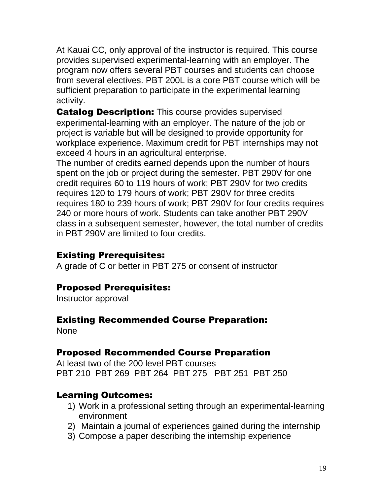At Kauai CC, only approval of the instructor is required. This course provides supervised experimental-learning with an employer. The program now offers several PBT courses and students can choose from several electives. PBT 200L is a core PBT course which will be sufficient preparation to participate in the experimental learning activity.

**Catalog Description:** This course provides supervised experimental-learning with an employer. The nature of the job or project is variable but will be designed to provide opportunity for workplace experience. Maximum credit for PBT internships may not exceed 4 hours in an agricultural enterprise.

The number of credits earned depends upon the number of hours spent on the job or project during the semester. PBT 290V for one credit requires 60 to 119 hours of work; PBT 290V for two credits requires 120 to 179 hours of work; PBT 290V for three credits requires 180 to 239 hours of work; PBT 290V for four credits requires 240 or more hours of work. Students can take another PBT 290V class in a subsequent semester, however, the total number of credits in PBT 290V are limited to four credits.

## Existing Prerequisites:

A grade of C or better in PBT 275 or consent of instructor

#### Proposed Prerequisites:

Instructor approval

#### Existing Recommended Course Preparation:

None

#### Proposed Recommended Course Preparation

At least two of the 200 level PBT courses PBT 210 PBT 269 PBT 264 PBT 275 PBT 251 PBT 250

#### Learning Outcomes:

- 1) Work in a professional setting through an experimental-learning environment
- 2) Maintain a journal of experiences gained during the internship
- 3) Compose a paper describing the internship experience